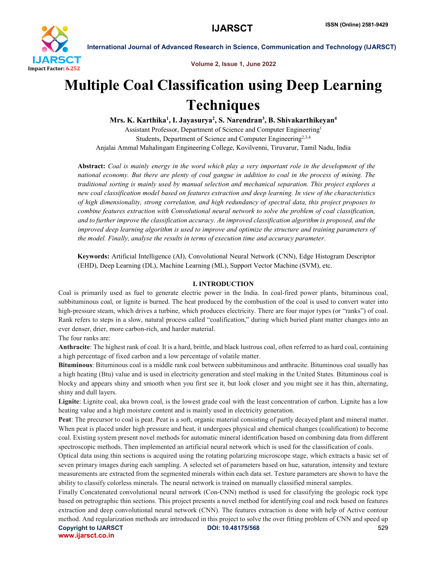

Volume 2, Issue 1, June 2022

# Multiple Coal Classification using Deep Learning **Techniques**

Mrs. K. Karthika<sup>1</sup>, I. Jayasurya<sup>2</sup>, S. Narendran<sup>3</sup>, B. Shivakarthikeyan<sup>4</sup>

Assistant Professor, Department of Science and Computer Engineering1 Students, Department of Science and Computer Engineering<sup>2,3,4</sup> Anjalai Ammal Mahalingam Engineering College, Kovilvenni, Tiruvarur, Tamil Nadu, India

Abstract: *Coal is mainly energy in the word which play a very important role in the development of the national economy. But there are plenty of coal gangue in addition to coal in the process of mining. The traditional sorting is mainly used by manual selection and mechanical separation. This project explores a new coal classification model based on features extraction and deep learning. In view of the characteristics of high dimensionality, strong correlation, and high redundancy of spectral data, this project proposes to combine features extraction with Convolutional neural network to solve the problem of coal classification, and to further improve the classification accuracy. An improved classification algorithm is proposed, and the improved deep learning algorithm is used to improve and optimize the structure and training parameters of the model. Finally, analyse the results in terms of execution time and accuracy parameter.*

Keywords: Artificial Intelligence (AI), Convolutional Neural Network (CNN), Edge Histogram Descriptor (EHD), Deep Learning (DL), Machine Learning (ML), Support Vector Machine (SVM), etc.

# I. INTRODUCTION

Coal is primarily used as fuel to generate electric power in the India. In coal-fired power plants, bituminous coal, subbituminous coal, or lignite is burned. The heat produced by the combustion of the coal is used to convert water into high-pressure steam, which drives a turbine, which produces electricity. There are four major types (or "ranks") of coal. Rank refers to steps in a slow, natural process called "coalification," during which buried plant matter changes into an ever denser, drier, more carbon-rich, and harder material.

The four ranks are:

Anthracite: The highest rank of coal. It is a hard, brittle, and black lustrous coal, often referred to as hard coal, containing a high percentage of fixed carbon and a low percentage of volatile matter.

Bituminous: Bituminous coal is a middle rank coal between subbituminous and anthracite. Bituminous coal usually has a high heating (Btu) value and is used in electricity generation and steel making in the United States. Bituminous coal is blocky and appears shiny and smooth when you first see it, but look closer and you might see it has thin, alternating, shiny and dull layers.

Lignite: Lignite coal, aka brown coal, is the lowest grade coal with the least concentration of carbon. Lignite has a low heating value and a high moisture content and is mainly used in electricity generation.

Peat: The precursor to coal is peat. Peat is a soft, organic material consisting of partly decayed plant and mineral matter. When peat is placed under high pressure and heat, it undergoes physical and chemical changes (coalification) to become coal. Existing system present novel methods for automatic mineral identification based on combining data from different spectroscopic methods. Then implemented an artificial neural network which is used for the classification of coals.

Optical data using thin sections is acquired using the rotating polarizing microscope stage, which extracts a basic set of seven primary images during each sampling. A selected set of parameters based on hue, saturation, intensity and texture measurements are extracted from the segmented minerals within each data set. Texture parameters are shown to have the ability to classify colorless minerals. The neural network is trained on manually classified mineral samples.

Copyright to IJARSCT **DOI: 10.48175/568** 529 Finally Concatenated convolutional neural network (Con-CNN) method is used for classifying the geologic rock type based on petrographic thin sections. This project presents a novel method for identifying coal and rock based on features extraction and deep convolutional neural network (CNN). The features extraction is done with help of Active contour method. And regularization methods are introduced in this project to solve the over fitting problem of CNN and speed up

www.ijarsct.co.in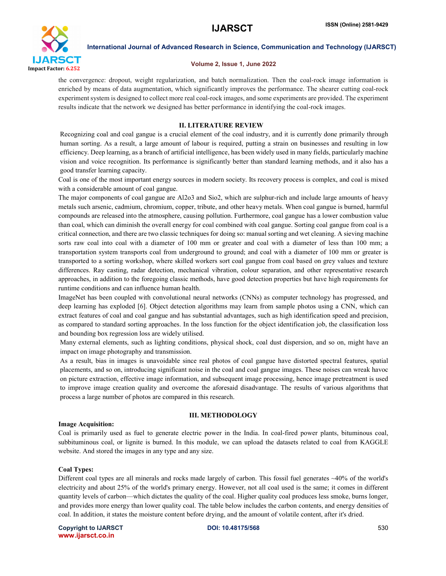

### Volume 2, Issue 1, June 2022

the convergence: dropout, weight regularization, and batch normalization. Then the coal-rock image information is enriched by means of data augmentation, which significantly improves the performance. The shearer cutting coal-rock experiment system is designed to collect more real coal-rock images, and some experiments are provided. The experiment results indicate that the network we designed has better performance in identifying the coal-rock images.

### II. LITERATURE REVIEW

Recognizing coal and coal gangue is a crucial element of the coal industry, and it is currently done primarily through human sorting. As a result, a large amount of labour is required, putting a strain on businesses and resulting in low efficiency. Deep learning, as a branch of artificial intelligence, has been widely used in many fields, particularly machine vision and voice recognition. Its performance is significantly better than standard learning methods, and it also has a good transfer learning capacity.

Coal is one of the most important energy sources in modern society. Its recovery process is complex, and coal is mixed with a considerable amount of coal gangue.

The major components of coal gangue are Al2o3 and Sio2, which are sulphur-rich and include large amounts of heavy metals such arsenic, cadmium, chromium, copper, tribute, and other heavy metals. When coal gangue is burned, harmful compounds are released into the atmosphere, causing pollution. Furthermore, coal gangue has a lower combustion value than coal, which can diminish the overall energy for coal combined with coal gangue. Sorting coal gangue from coal is a critical connection, and there are two classic techniques for doing so: manual sorting and wet cleaning. A sieving machine sorts raw coal into coal with a diameter of 100 mm or greater and coal with a diameter of less than 100 mm; a transportation system transports coal from underground to ground; and coal with a diameter of 100 mm or greater is transported to a sorting workshop, where skilled workers sort coal gangue from coal based on grey values and texture differences. Ray casting, radar detection, mechanical vibration, colour separation, and other representative research approaches, in addition to the foregoing classic methods, have good detection properties but have high requirements for runtime conditions and can influence human health.

ImageNet has been coupled with convolutional neural networks (CNNs) as computer technology has progressed, and deep learning has exploded [6]. Object detection algorithms may learn from sample photos using a CNN, which can extract features of coal and coal gangue and has substantial advantages, such as high identification speed and precision, as compared to standard sorting approaches. In the loss function for the object identification job, the classification loss and bounding box regression loss are widely utilised.

Many external elements, such as lighting conditions, physical shock, coal dust dispersion, and so on, might have an impact on image photography and transmission.

As a result, bias in images is unavoidable since real photos of coal gangue have distorted spectral features, spatial placements, and so on, introducing significant noise in the coal and coal gangue images. These noises can wreak havoc on picture extraction, effective image information, and subsequent image processing, hence image pretreatment is used to improve image creation quality and overcome the aforesaid disadvantage. The results of various algorithms that process a large number of photos are compared in this research.

# Image Acquisition:

#### III. METHODOLOGY

Coal is primarily used as fuel to generate electric power in the India. In coal-fired power plants, bituminous coal, subbituminous coal, or lignite is burned. In this module, we can upload the datasets related to coal from KAGGLE website. And stored the images in any type and any size.

#### Coal Types:

Different coal types are all minerals and rocks made largely of carbon. This fossil fuel generates  $\sim$ 40% of the world's electricity and about 25% of the world's primary energy. However, not all coal used is the same; it comes in different quantity levels of carbon—which dictates the quality of the coal. Higher quality coal produces less smoke, burns longer, and provides more energy than lower quality coal. The table below includes the carbon contents, and energy densities of coal. In addition, it states the moisture content before drying, and the amount of volatile content, after it's dried.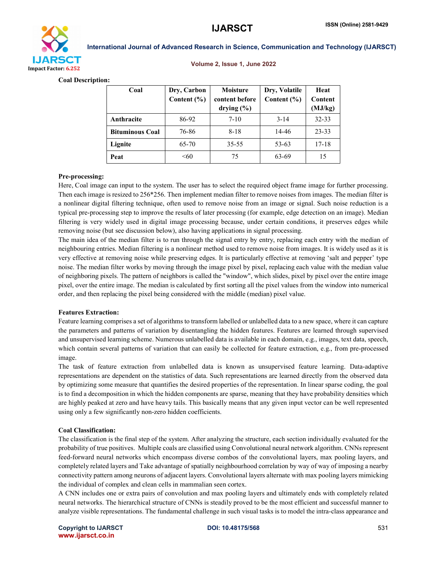

#### Volume 2, Issue 1, June 2022

Coal Description:

| Coal                   | Dry, Carbon<br>Content $(\% )$ | Moisture<br>content before<br>drying $(\% )$ | Dry, Volatile<br>Content $(\% )$ | Heat<br>Content<br>(MJ/kg) |
|------------------------|--------------------------------|----------------------------------------------|----------------------------------|----------------------------|
| Anthracite             | 86-92                          | $7-10$                                       | $3 - 14$                         | 32-33                      |
| <b>Bituminous Coal</b> | 76-86                          | $8 - 18$                                     | 14-46                            | $23 - 33$                  |
| Lignite                | 65-70                          | 35-55                                        | $53 - 63$                        | $17 - 18$                  |
| Peat                   | <60                            | 75                                           | 63-69                            | 15                         |

# Pre-processing:

Here, Coal image can input to the system. The user has to select the required object frame image for further processing. Then each image is resized to 256\*256. Then implement median filter to remove noises from images. The median filter is a nonlinear digital filtering technique, often used to remove noise from an image or signal. Such noise reduction is a typical pre-processing step to improve the results of later processing (for example, edge detection on an image). Median filtering is very widely used in digital image processing because, under certain conditions, it preserves edges while removing noise (but see discussion below), also having applications in signal processing.

The main idea of the median filter is to run through the signal entry by entry, replacing each entry with the median of neighbouring entries. Median filtering is a nonlinear method used to remove noise from images. It is widely used as it is very effective at removing noise while preserving edges. It is particularly effective at removing 'salt and pepper' type noise. The median filter works by moving through the image pixel by pixel, replacing each value with the median value of neighboring pixels. The pattern of neighbors is called the "window", which slides, pixel by pixel over the entire image pixel, over the entire image. The median is calculated by first sorting all the pixel values from the window into numerical order, and then replacing the pixel being considered with the middle (median) pixel value.

# Features Extraction:

Feature learning comprises a set of algorithms to transform labelled or unlabelled data to a new space, where it can capture the parameters and patterns of variation by disentangling the hidden features. Features are learned through supervised and unsupervised learning scheme. Numerous unlabelled data is available in each domain, e.g., images, text data, speech, which contain several patterns of variation that can easily be collected for feature extraction, e.g., from pre-processed image.

The task of feature extraction from unlabelled data is known as unsupervised feature learning. Data-adaptive representations are dependent on the statistics of data. Such representations are learned directly from the observed data by optimizing some measure that quantifies the desired properties of the representation. In linear sparse coding, the goal is to find a decomposition in which the hidden components are sparse, meaning that they have probability densities which are highly peaked at zero and have heavy tails. This basically means that any given input vector can be well represented using only a few significantly non-zero hidden coefficients.

# Coal Classification:

The classification is the final step of the system. After analyzing the structure, each section individually evaluated for the probability of true positives. Multiple coals are classified using Convolutional neural network algorithm. CNNs represent feed-forward neural networks which encompass diverse combos of the convolutional layers, max pooling layers, and completely related layers and Take advantage of spatially neighbourhood correlation by way of way of imposing a nearby connectivity pattern among neurons of adjacent layers. Convolutional layers alternate with max pooling layers mimicking the individual of complex and clean cells in mammalian seen cortex.

A CNN includes one or extra pairs of convolution and max pooling layers and ultimately ends with completely related neural networks. The hierarchical structure of CNNs is steadily proved to be the most efficient and successful manner to analyze visible representations. The fundamental challenge in such visual tasks is to model the intra-class appearance and

Copyright to IJARSCT **DOI: 10.48175/568 Copyright to IJARSCT** 531 www.ijarsct.co.in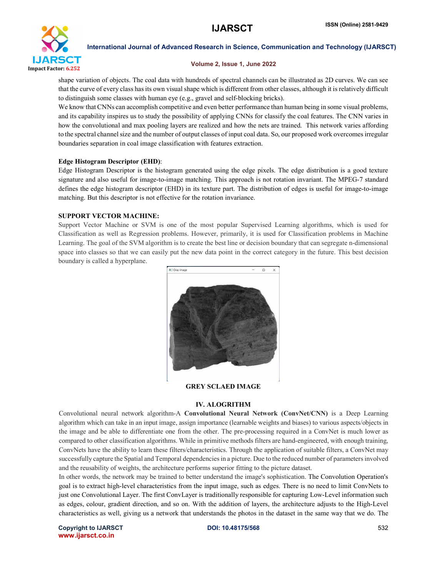

#### Volume 2, Issue 1, June 2022

shape variation of objects. The coal data with hundreds of spectral channels can be illustrated as 2D curves. We can see that the curve of every class has its own visual shape which is different from other classes, although it is relatively difficult to distinguish some classes with human eye (e.g., gravel and self-blocking bricks).

We know that CNNs can accomplish competitive and even better performance than human being in some visual problems, and its capability inspires us to study the possibility of applying CNNs for classify the coal features. The CNN varies in how the convolutional and max pooling layers are realized and how the nets are trained. This network varies affording to the spectral channel size and the number of output classes of input coal data. So, our proposed work overcomes irregular boundaries separation in coal image classification with features extraction.

# Edge Histogram Descriptor (EHD):

Edge Histogram Descriptor is the histogram generated using the edge pixels. The edge distribution is a good texture signature and also useful for image-to-image matching. This approach is not rotation invariant. The MPEG-7 standard defines the edge histogram descriptor (EHD) in its texture part. The distribution of edges is useful for image-to-image matching. But this descriptor is not effective for the rotation invariance.

# SUPPORT VECTOR MACHINE:

Support Vector Machine or SVM is one of the most popular Supervised Learning algorithms, which is used for Classification as well as Regression problems. However, primarily, it is used for Classification problems in Machine Learning. The goal of the SVM algorithm is to create the best line or decision boundary that can segregate n-dimensional space into classes so that we can easily put the new data point in the correct category in the future. This best decision boundary is called a hyperplane.



# GREY SCLAED IMAGE

# IV. ALOGRITHM

Convolutional neural network algorithm-A Convolutional Neural Network (ConvNet/CNN) is a Deep Learning algorithm which can take in an input image, assign importance (learnable weights and biases) to various aspects/objects in the image and be able to differentiate one from the other. The pre-processing required in a ConvNet is much lower as compared to other classification algorithms. While in primitive methods filters are hand-engineered, with enough training, ConvNets have the ability to learn these filters/characteristics. Through the application of suitable filters, a ConvNet may successfully capture the Spatial and Temporal dependencies in a picture. Due to the reduced number of parameters involved and the reusability of weights, the architecture performs superior fitting to the picture dataset.

In other words, the network may be trained to better understand the image's sophistication. The Convolution Operation's goal is to extract high-level characteristics from the input image, such as edges. There is no need to limit ConvNets to just one Convolutional Layer. The first ConvLayer is traditionally responsible for capturing Low-Level information such as edges, colour, gradient direction, and so on. With the addition of layers, the architecture adjusts to the High-Level characteristics as well, giving us a network that understands the photos in the dataset in the same way that we do. The

Copyright to IJARSCT **DOI: 10.48175/568 Example 2012 Copyright to IJARSCT** 532 www.ijarsct.co.in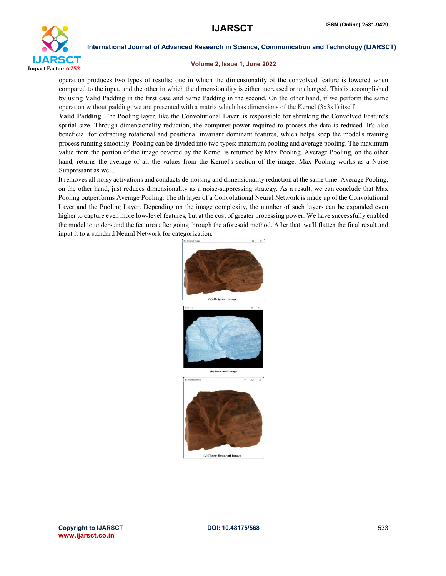

#### Volume 2, Issue 1, June 2022

operation produces two types of results: one in which the dimensionality of the convolved feature is lowered when compared to the input, and the other in which the dimensionality is either increased or unchanged. This is accomplished by using Valid Padding in the first case and Same Padding in the second. On the other hand, if we perform the same operation without padding, we are presented with a matrix which has dimensions of the Kernel (3x3x1) itself

Valid Padding: The Pooling layer, like the Convolutional Layer, is responsible for shrinking the Convolved Feature's spatial size. Through dimensionality reduction, the computer power required to process the data is reduced. It's also beneficial for extracting rotational and positional invariant dominant features, which helps keep the model's training process running smoothly. Pooling can be divided into two types: maximum pooling and average pooling. The maximum value from the portion of the image covered by the Kernel is returned by Max Pooling. Average Pooling, on the other hand, returns the average of all the values from the Kernel's section of the image. Max Pooling works as a Noise Suppressant as well.

It removes all noisy activations and conducts de-noising and dimensionality reduction at the same time. Average Pooling, on the other hand, just reduces dimensionality as a noise-suppressing strategy. As a result, we can conclude that Max Pooling outperforms Average Pooling. The ith layer of a Convolutional Neural Network is made up of the Convolutional Layer and the Pooling Layer. Depending on the image complexity, the number of such layers can be expanded even higher to capture even more low-level features, but at the cost of greater processing power. We have successfully enabled the model to understand the features after going through the aforesaid method. After that, we'll flatten the final result and input it to a standard Neural Network for categorization.



Copyright to IJARSCT **DOI: 10.48175/568** 533 www.ijarsct.co.in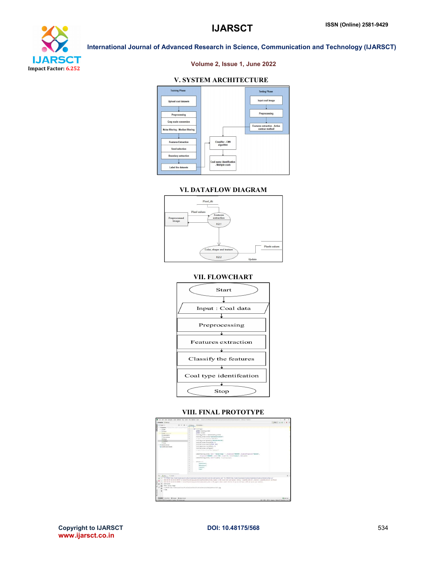

# Volume 2, Issue 1, June 2022

# V. SYSTEM ARCHITECTURE



#### VI. DATAFLOW DIAGRAM



# VII. FLOWCHART



### VIII. FINAL PROTOTYPE



Copyright to IJARSCT **DOI: 10.48175/568** 534 www.ijarsct.co.in